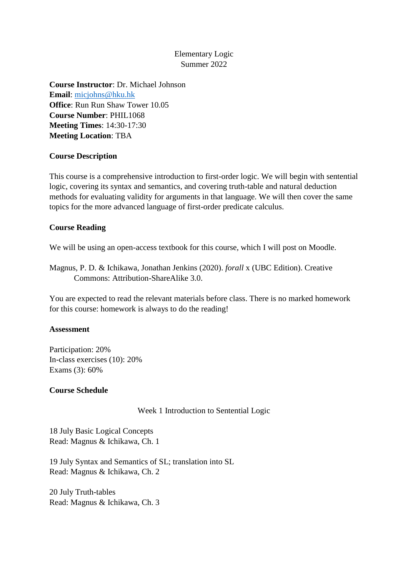# Elementary Logic Summer 2022

**Course Instructor**: Dr. Michael Johnson **Email**: [micjohns@hku.hk](mailto:micjohns@hku.hk) **Office**: Run Run Shaw Tower 10.05 **Course Number**: PHIL1068 **Meeting Times**: 14:30-17:30 **Meeting Location**: TBA

## **Course Description**

This course is a comprehensive introduction to first-order logic. We will begin with sentential logic, covering its syntax and semantics, and covering truth-table and natural deduction methods for evaluating validity for arguments in that language. We will then cover the same topics for the more advanced language of first-order predicate calculus.

## **Course Reading**

We will be using an open-access textbook for this course, which I will post on Moodle.

Magnus, P. D. & Ichikawa, Jonathan Jenkins (2020). *forall* x (UBC Edition). Creative Commons: Attribution-ShareAlike 3.0.

You are expected to read the relevant materials before class. There is no marked homework for this course: homework is always to do the reading!

### **Assessment**

Participation: 20% In-class exercises (10): 20% Exams (3): 60%

### **Course Schedule**

Week 1 Introduction to Sentential Logic

18 July Basic Logical Concepts Read: Magnus & Ichikawa, Ch. 1

19 July Syntax and Semantics of SL; translation into SL Read: Magnus & Ichikawa, Ch. 2

20 July Truth-tables Read: Magnus & Ichikawa, Ch. 3